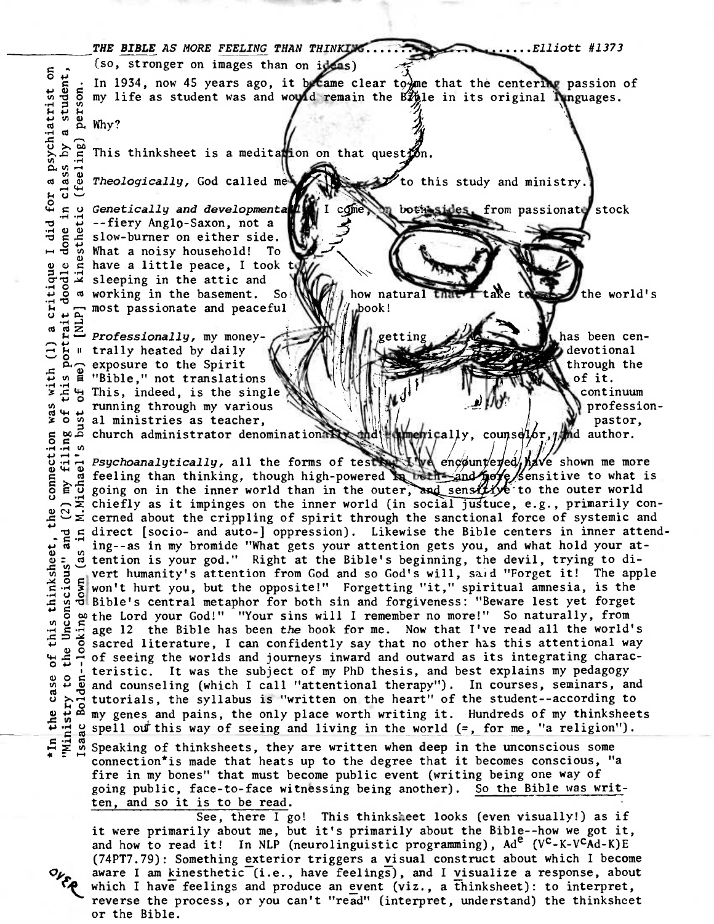## **THE BIBLE** AS MORE FEELING THAN THINK Elliott #1373  $\begin{array}{l} \n\text{[s]} \quad \text{[s]} \quad \text{[s]} \quad \text{[s]} \quad \text{[s]} \quad \text{[s]} \quad \text{[s]} \quad \text{[s]} \quad \text{[s]} \quad \text{[s]} \quad \text{[s]} \quad \text{[s]} \quad \text{[s]} \quad \text{[s]} \quad \text{[s]} \quad \text{[s]} \quad \text{[s]} \quad \text{[s]} \quad \text{[s]} \quad \text{[s]} \quad \text{[s]} \quad \text{[s]} \quad \text{[s]} \quad \text{[s]} \quad \text{[s]} \quad \text{[s]} \quad \text{$  $\frac{5}{5}$   $\frac{1}{5}$ . In 1934, now 45 years ago, it became clear to me that the centering passion of **44 CD g**   $\begin{bmatrix} 5 & m & 1 \\ 2 & m & 1 \\ 2 & m & 2 \end{bmatrix}$ where  $\frac{W}{2}$  of my life as student was and would remain the E*li*ple in its original **Impactual Studies.**<br>He is in the contract of the contract of the studies of the contract of the contract of the studies of the studie This thinksheet is a meditation on that question. **4-4 O 0 <sup>O</sup> 0 0**  Theologically, God called me to this study and ministry. come Genetically and developmenta sthetic both sides, from passionate stock --fiery Anglo-Saxon, not a slow-burner on either side. What a noisy household! To d g what a noisy household! I<br>g g g have a little peace, I too<br>g g g sleeping in the attic and have a little peace, I took t working in the basement. So how natural aRe the world's tna most passionate and peaceful book!

getting

has been cendevotional through the of it.

> continuum professionpastor,

the prically, counselor, which author.

**0 4** m **d** "Bible," not translations Professionally, my moneytrally heated by daily exposure to the Spirit This, indeed, is the single running through my various al ministries as teacher, church administrator denomination

*Psychoanalytically,* all the forms of tests  $\mathbb{R} \setminus \mathbb{R}$  engountered,  $\mathbb{A}$  or shown me more feeling than thinking, though high-powered is being and note fensitive to what is going on in the inner world than in the outer, and sensitive to the outer world chiefly as it impinges on the inner world (in social justuce, e.g., primarily concerned about the crippling of spirit through the sanctional force of systemic and  $g$  direct [socio- and auto-] oppression). Likewise the Bible centers in inner attend. ing--as in my bromide "What gets your attention gets you, and what hold your attention is your god." Right at the Bible's beginning, the devil, trying to di-**O m**  vert humanity's attention from God and so God's will, said "Forget it! The apple won't hurt you, but the opposite!" Forgetting "it," spiritual amnesia, is the Bible's central metaphor for both sin and forgiveness: "Beware lest yet forget the Lord your God!" "Your sins will I remember no more!" So naturally, from **<sup>O</sup> W**  age 12 the Bible has been the book for me. Now that I've read all the world's  $\frac{1}{2}$ ,  $\frac{3}{2}$  sacred literature, I can confidently say that no other has this attentional way be a sacred interactive, i can confidencity say that no other has this accentronal way<br>  $\frac{1}{2}$  and  $\frac{1}{4}$  of seeing the worlds and journeys inward and outward as its integrating characteristic. It was the subject of my PhD thesis, and best explains my pedagogy and counseling (which I call "attentional therapy"). In courses, seminars, and tutorials, the syllabus is "written on the heart" of the student--according to my genes and pains, the only place worth writing it. Hundreds of my thinksheets spell out this way of seeing and living in the world  $(=,$  for me, "a religion").

**4-4** F 0 Speaking of thinksheets, they are written **when deep in the** unconscious some connection\*is made that heats up to the degree that it becomes conscious, "a fire in my bones" that must become public event (writing being one way of going public, face-to-face witnessing being another). So the Bible was written, and so it is to be read.

See, there I go! This thinksheet looks (even visually!) as if it were primarily about me, but it's primarily about the Bible--how we got it, and how to read it! In NLP (neurolinguistic programming),  $Ad^e$  (V<sup>C</sup>-K-V<sup>C</sup>Ad-K)E (74PT7.79): Something exterior triggers a yisual construct about which I become aware I am kinesthetic (i.e., have feelings), and I visualize a response, about which I have feelings and produce an event (viz., a thinksheet): to interpret, reverse the process, or you can't "read" (interpret, understand) the thinkshcet or the Bible.